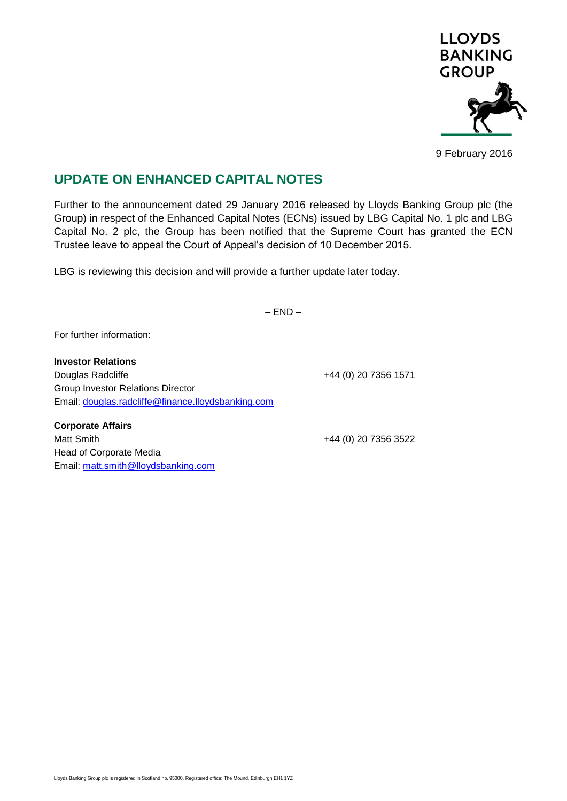

9 February 2016

## **UPDATE ON ENHANCED CAPITAL NOTES**

Further to the announcement dated 29 January 2016 released by Lloyds Banking Group plc (the Group) in respect of the Enhanced Capital Notes (ECNs) issued by LBG Capital No. 1 plc and LBG Capital No. 2 plc, the Group has been notified that the Supreme Court has granted the ECN Trustee leave to appeal the Court of Appeal's decision of 10 December 2015.

LBG is reviewing this decision and will provide a further update later today.

 $-$  END  $-$ 

For further information:

**Investor Relations** Douglas Radcliffe **+44 (0) 20 7356 1571** Group Investor Relations Director Email: [douglas.radcliffe@finance.lloydsbanking.com](mailto:douglas.radcliffe@finance.lloydsbanking.com)

**Corporate Affairs** Matt Smith  $+44 (0) 20 7356 3522$ Head of Corporate Media Email: [matt.smith@lloydsbanking.com](mailto:matt.smith@lloydsbanking.com)